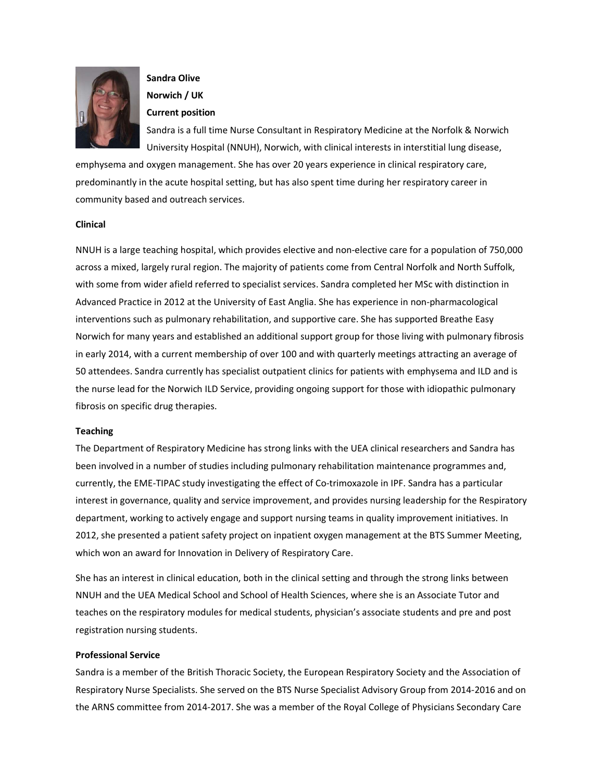

# Sandra Olive Norwich / UK

# Current position

Sandra is a full time Nurse Consultant in Respiratory Medicine at the Norfolk & Norwich University Hospital (NNUH), Norwich, with clinical interests in interstitial lung disease,

emphysema and oxygen management. She has over 20 years experience in clinical respiratory care, predominantly in the acute hospital setting, but has also spent time during her respiratory career in community based and outreach services.

### Clinical

NNUH is a large teaching hospital, which provides elective and non-elective care for a population of 750,000 across a mixed, largely rural region. The majority of patients come from Central Norfolk and North Suffolk, with some from wider afield referred to specialist services. Sandra completed her MSc with distinction in Advanced Practice in 2012 at the University of East Anglia. She has experience in non-pharmacological interventions such as pulmonary rehabilitation, and supportive care. She has supported Breathe Easy Norwich for many years and established an additional support group for those living with pulmonary fibrosis in early 2014, with a current membership of over 100 and with quarterly meetings attracting an average of 50 attendees. Sandra currently has specialist outpatient clinics for patients with emphysema and ILD and is the nurse lead for the Norwich ILD Service, providing ongoing support for those with idiopathic pulmonary fibrosis on specific drug therapies.

# Teaching

The Department of Respiratory Medicine has strong links with the UEA clinical researchers and Sandra has been involved in a number of studies including pulmonary rehabilitation maintenance programmes and, currently, the EME-TIPAC study investigating the effect of Co-trimoxazole in IPF. Sandra has a particular interest in governance, quality and service improvement, and provides nursing leadership for the Respiratory department, working to actively engage and support nursing teams in quality improvement initiatives. In 2012, she presented a patient safety project on inpatient oxygen management at the BTS Summer Meeting, which won an award for Innovation in Delivery of Respiratory Care.

She has an interest in clinical education, both in the clinical setting and through the strong links between NNUH and the UEA Medical School and School of Health Sciences, where she is an Associate Tutor and teaches on the respiratory modules for medical students, physician's associate students and pre and post registration nursing students.

# Professional Service

Sandra is a member of the British Thoracic Society, the European Respiratory Society and the Association of Respiratory Nurse Specialists. She served on the BTS Nurse Specialist Advisory Group from 2014-2016 and on the ARNS committee from 2014-2017. She was a member of the Royal College of Physicians Secondary Care